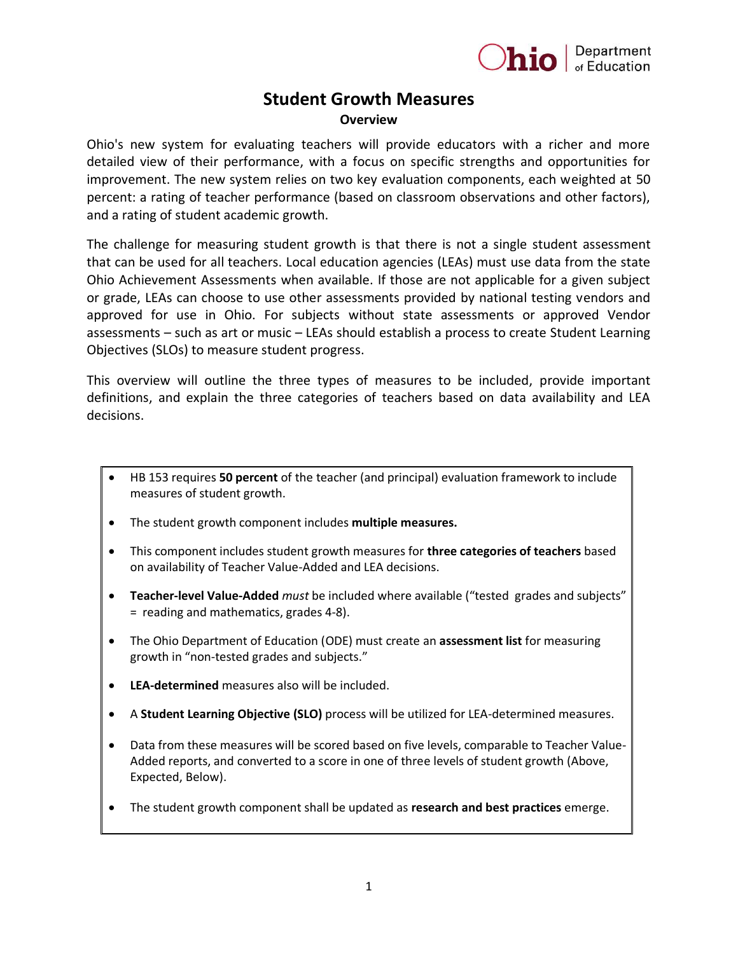

## **Student Growth Measures Overview**

Ohio's new system for evaluating teachers will provide educators with a richer and more detailed view of their performance, with a focus on specific strengths and opportunities for improvement. The new system relies on two key evaluation components, each weighted at 50 percent: a rating of teacher performance (based on classroom observations and other factors), and a rating of student academic growth.

The challenge for measuring student growth is that there is not a single student assessment that can be used for all teachers. Local education agencies (LEAs) must use data from the state Ohio Achievement Assessments when available. If those are not applicable for a given subject or grade, LEAs can choose to use other assessments provided by national testing vendors and approved for use in Ohio. For subjects without state assessments or approved Vendor assessments – such as art or music – LEAs should establish a process to create Student Learning Objectives (SLOs) to measure student progress.

This overview will outline the three types of measures to be included, provide important definitions, and explain the three categories of teachers based on data availability and LEA decisions.

- HB 153 requires **50 percent** of the teacher (and principal) evaluation framework to include measures of student growth.
- The student growth component includes **multiple measures.**
- This component includes student growth measures for **three categories of teachers** based on availability of Teacher Value-Added and LEA decisions.
- **Teacher-level Value-Added** *must* be included where available ("tested grades and subjects" = reading and mathematics, grades 4-8).
- The Ohio Department of Education (ODE) must create an **assessment list** for measuring growth in "non-tested grades and subjects."
- **LEA-determined** measures also will be included.
- A **Student Learning Objective (SLO)** process will be utilized for LEA-determined measures.
- Data from these measures will be scored based on five levels, comparable to Teacher Value-Added reports, and converted to a score in one of three levels of student growth (Above, Expected, Below).
- The student growth component shall be updated as **research and best practices** emerge.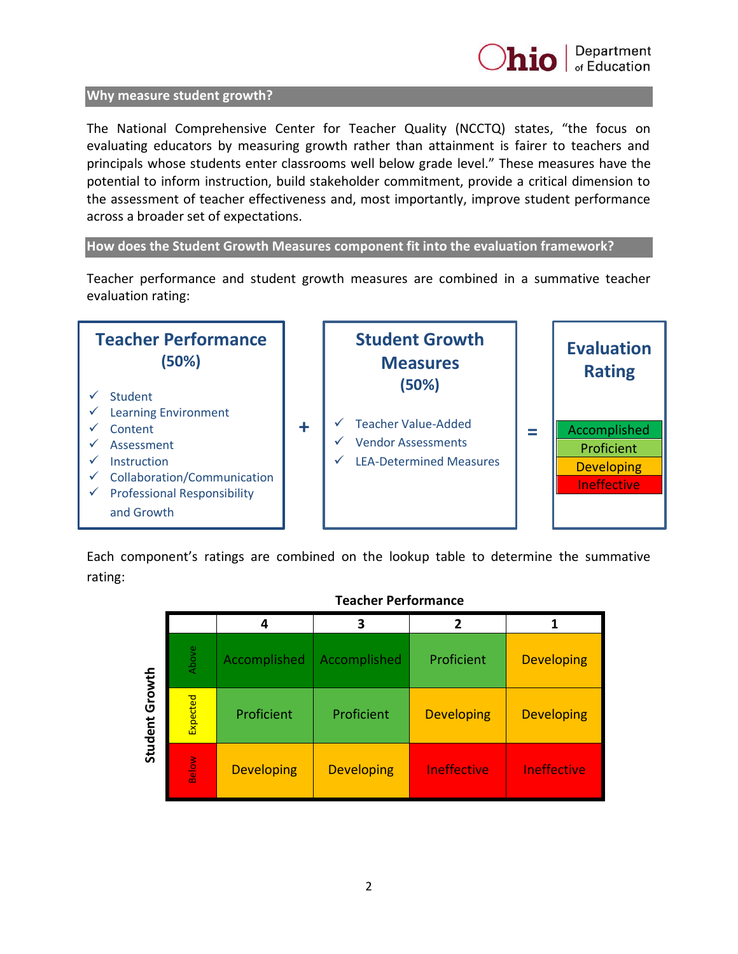

#### **Why measure student growth?**

The National Comprehensive Center for Teacher Quality (NCCTQ) states, "the focus on evaluating educators by measuring growth rather than attainment is fairer to teachers and principals whose students enter classrooms well below grade level." These measures have the potential to inform instruction, build stakeholder commitment, provide a critical dimension to the assessment of teacher effectiveness and, most importantly, improve student performance across a broader set of expectations.

**How does the Student Growth Measures component fit into the evaluation framework?** 

Teacher performance and student growth measures are combined in a summative teacher evaluation rating:



Each component's ratings are combined on the lookup table to determine the summative rating:

## **Teacher Performance**

|                       |          | 4                 | 3                 |                    |                    |
|-----------------------|----------|-------------------|-------------------|--------------------|--------------------|
| <b>Student Growth</b> | Above    | Accomplished      | Accomplished      | Proficient         | <b>Developing</b>  |
|                       | Expected | Proficient        | Proficient        | <b>Developing</b>  | <b>Developing</b>  |
|                       | Below    | <b>Developing</b> | <b>Developing</b> | <b>Ineffective</b> | <b>Ineffective</b> |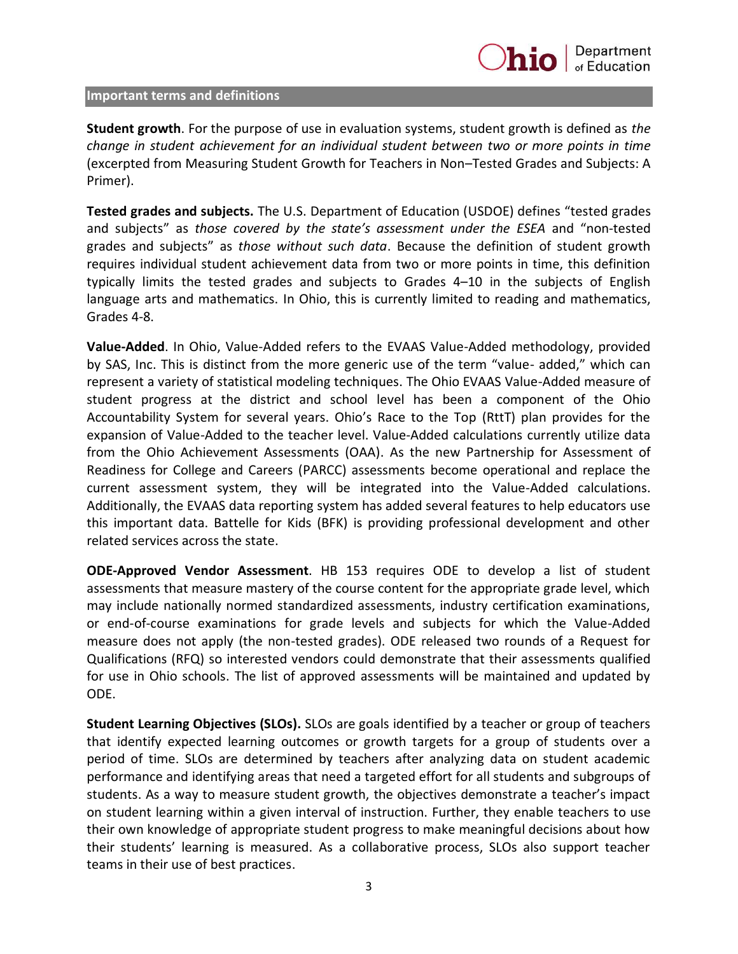#### **Important terms and definitions**

**Student growth**. For the purpose of use in evaluation systems, student growth is defined as *the change in student achievement for an individual student between two or more points in time*  (excerpted from Measuring Student Growth for Teachers in Non–Tested Grades and Subjects: A Primer).

**Tested grades and subjects.** The U.S. Department of Education (USDOE) defines "tested grades and subjects" as *those covered by the state's assessment under the ESEA* and "non‐tested grades and subjects" as *those without such data*. Because the definition of student growth requires individual student achievement data from two or more points in time, this definition typically limits the tested grades and subjects to Grades 4–10 in the subjects of English language arts and mathematics. In Ohio, this is currently limited to reading and mathematics, Grades 4-8.

**Value-Added**. In Ohio, Value-Added refers to the EVAAS Value-Added methodology, provided by SAS, Inc. This is distinct from the more generic use of the term "value- added," which can represent a variety of statistical modeling techniques. The Ohio EVAAS Value-Added measure of student progress at the district and school level has been a component of the Ohio Accountability System for several years. Ohio's Race to the Top (RttT) plan provides for the expansion of Value-Added to the teacher level. Value-Added calculations currently utilize data from the Ohio Achievement Assessments (OAA). As the new Partnership for Assessment of Readiness for College and Careers (PARCC) assessments become operational and replace the current assessment system, they will be integrated into the Value-Added calculations. Additionally, the EVAAS data reporting system has added several features to help educators use this important data. Battelle for Kids (BFK) is providing professional development and other related services across the state.

**ODE-Approved Vendor Assessment**. HB 153 requires ODE to develop a list of student assessments that measure mastery of the course content for the appropriate grade level, which may include nationally normed standardized assessments, industry certification examinations, or end-of-course examinations for grade levels and subjects for which the Value-Added measure does not apply (the non-tested grades). ODE released two rounds of a Request for Qualifications (RFQ) so interested vendors could demonstrate that their assessments qualified for use in Ohio schools. The list of approved assessments will be maintained and updated by ODE.

**Student Learning Objectives (SLOs).** SLOs are goals identified by a teacher or group of teachers that identify expected learning outcomes or growth targets for a group of students over a period of time. SLOs are determined by teachers after analyzing data on student academic performance and identifying areas that need a targeted effort for all students and subgroups of students. As a way to measure student growth, the objectives demonstrate a teacher's impact on student learning within a given interval of instruction. Further, they enable teachers to use their own knowledge of appropriate student progress to make meaningful decisions about how their students' learning is measured. As a collaborative process, SLOs also support teacher teams in their use of best practices.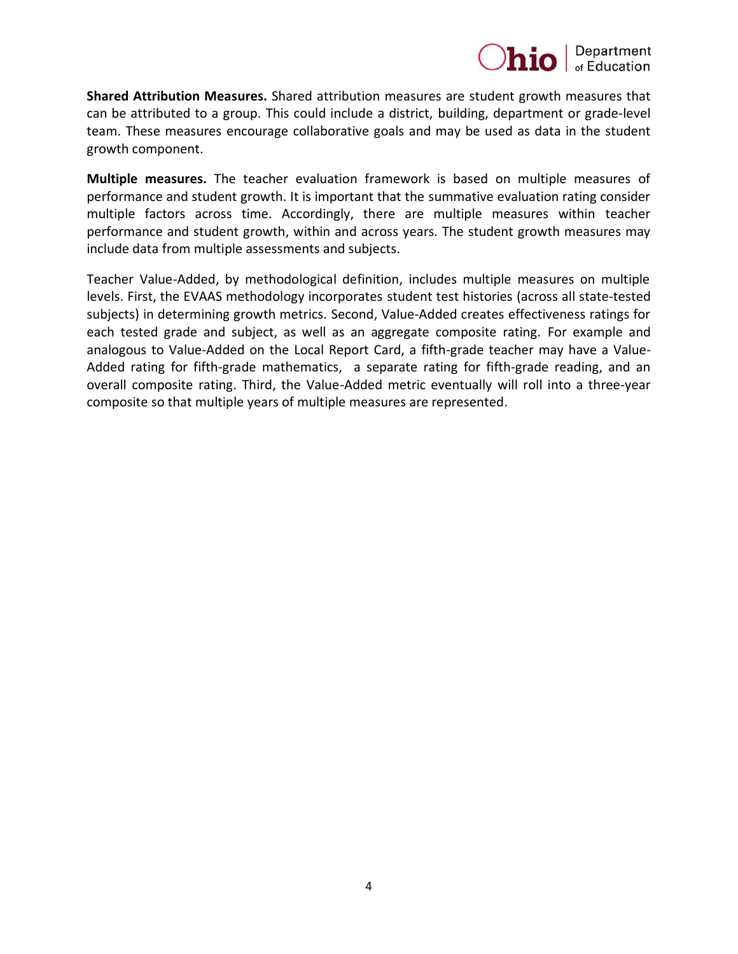

**Shared Attribution Measures.** Shared attribution measures are student growth measures that can be attributed to a group. This could include a district, building, department or grade-level team. These measures encourage collaborative goals and may be used as data in the student growth component.

**Multiple measures.** The teacher evaluation framework is based on multiple measures of performance and student growth. It is important that the summative evaluation rating consider multiple factors across time. Accordingly, there are multiple measures within teacher performance and student growth, within and across years. The student growth measures may include data from multiple assessments and subjects.

Teacher Value-Added, by methodological definition, includes multiple measures on multiple levels. First, the EVAAS methodology incorporates student test histories (across all state-tested subjects) in determining growth metrics. Second, Value-Added creates effectiveness ratings for each tested grade and subject, as well as an aggregate composite rating. For example and analogous to Value-Added on the Local Report Card, a fifth-grade teacher may have a Value-Added rating for fifth-grade mathematics, a separate rating for fifth-grade reading, and an overall composite rating. Third, the Value-Added metric eventually will roll into a three-year composite so that multiple years of multiple measures are represented.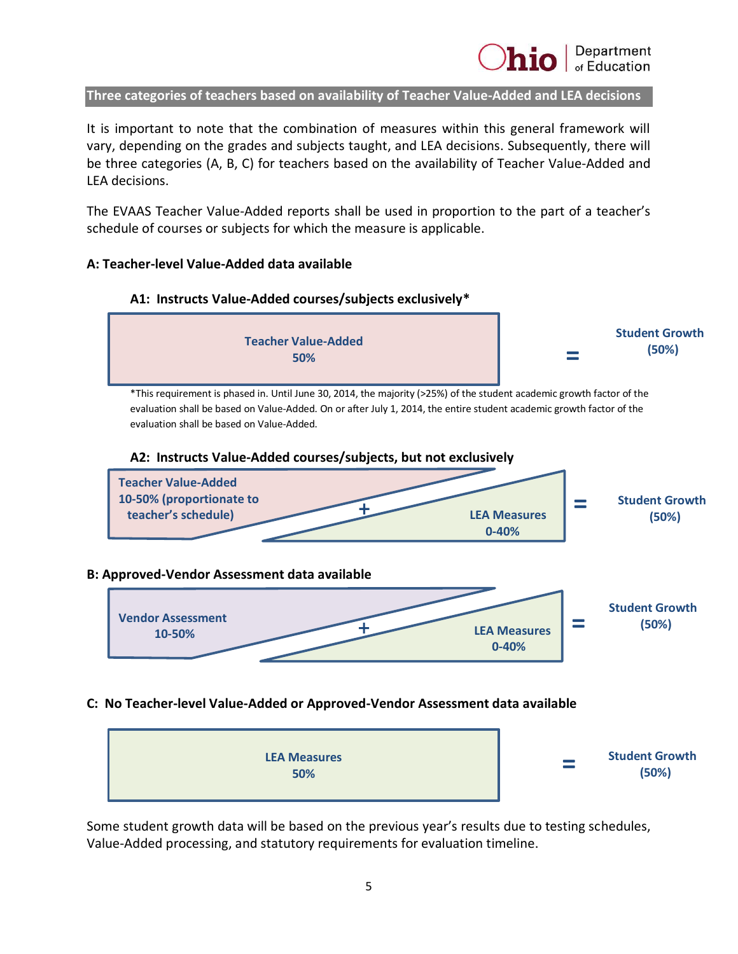**Three categories of teachers based on availability of Teacher Value-Added and LEA decisions**

It is important to note that the combination of measures within this general framework will vary, depending on the grades and subjects taught, and LEA decisions. Subsequently, there will be three categories (A, B, C) for teachers based on the availability of Teacher Value-Added and LEA decisions.

The EVAAS Teacher Value-Added reports shall be used in proportion to the part of a teacher's schedule of courses or subjects for which the measure is applicable.

## **A: Teacher-level Value-Added data available**



Some student growth data will be based on the previous year's results due to testing schedules, Value-Added processing, and statutory requirements for evaluation timeline.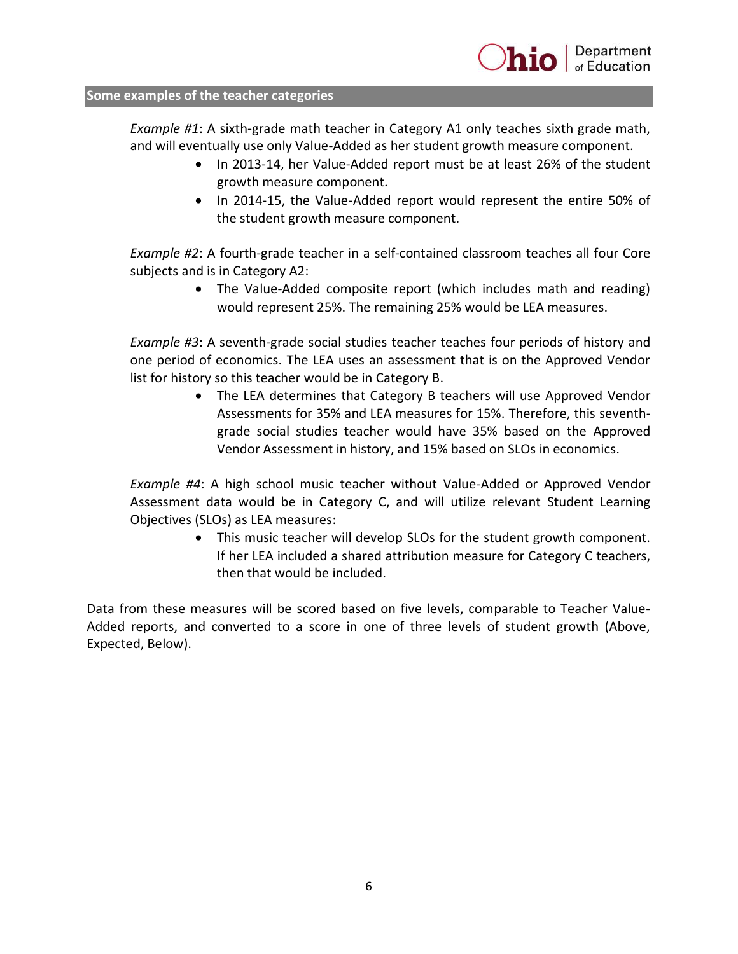## **Some examples of the teacher categories**

*Example #1*: A sixth-grade math teacher in Category A1 only teaches sixth grade math, and will eventually use only Value-Added as her student growth measure component.

- In 2013-14, her Value-Added report must be at least 26% of the student growth measure component.
- In 2014-15, the Value-Added report would represent the entire 50% of the student growth measure component.

*Example #2*: A fourth-grade teacher in a self-contained classroom teaches all four Core subjects and is in Category A2:

> The Value-Added composite report (which includes math and reading) would represent 25%. The remaining 25% would be LEA measures.

*Example #3*: A seventh-grade social studies teacher teaches four periods of history and one period of economics. The LEA uses an assessment that is on the Approved Vendor list for history so this teacher would be in Category B.

> The LEA determines that Category B teachers will use Approved Vendor Assessments for 35% and LEA measures for 15%. Therefore, this seventhgrade social studies teacher would have 35% based on the Approved Vendor Assessment in history, and 15% based on SLOs in economics.

*Example #4*: A high school music teacher without Value-Added or Approved Vendor Assessment data would be in Category C, and will utilize relevant Student Learning Objectives (SLOs) as LEA measures:

> This music teacher will develop SLOs for the student growth component. If her LEA included a shared attribution measure for Category C teachers, then that would be included.

Data from these measures will be scored based on five levels, comparable to Teacher Value-Added reports, and converted to a score in one of three levels of student growth (Above, Expected, Below).